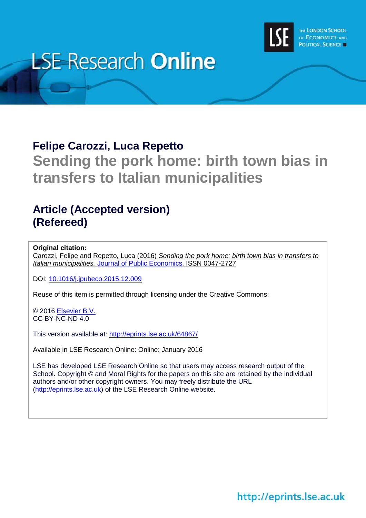

# **LSE Research Online**

## **Felipe Carozzi, Luca Repetto**

# **Sending the pork home: birth town bias in transfers to Italian municipalities**

# **Article (Accepted version) (Refereed)**

#### **Original citation:**

Carozzi, Felipe and Repetto, Luca (2016) *Sending the pork home: birth town bias in transfers to Italian municipalities.* [Journal of Public Economics.](http://www.journals.elsevier.com/journal-of-public-economics) ISSN 0047-2727

DOI: [10.1016/j.jpubeco.2015.12.009](http://dx.doi.org/10.1016/j.jpubeco.2015.12.009)

Reuse of this item is permitted through licensing under the Creative Commons:

© 2016 [Elsevier B.V.](http://www.elsevier.com/) CC BY-NC-ND 4.0

This version available at:<http://eprints.lse.ac.uk/64867/>

Available in LSE Research Online: Online: January 2016

LSE has developed LSE Research Online so that users may access research output of the School. Copyright © and Moral Rights for the papers on this site are retained by the individual authors and/or other copyright owners. You may freely distribute the URL (http://eprints.lse.ac.uk) of the LSE Research Online website.

http://eprints.lse.ac.uk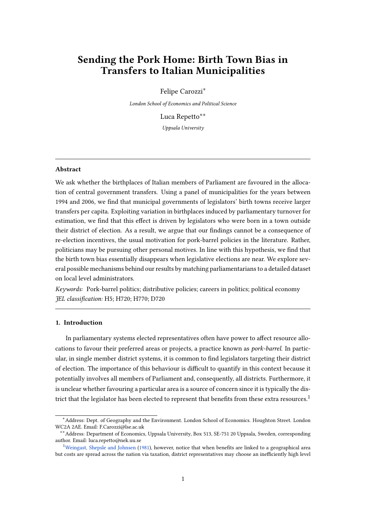### Sending the Pork Home: Birth Town Bias in Transfers to Italian Municipalities

Felipe Carozzi∗

London School of Economics and Political Science

Luca Repetto∗∗ Uppsala University

#### Abstract

We ask whether the birthplaces of Italian members of Parliament are favoured in the allocation of central government transfers. Using a panel of municipalities for the years between 1994 and 2006, we find that municipal governments of legislators' birth towns receive larger transfers per capita. Exploiting variation in birthplaces induced by parliamentary turnover for estimation, we find that this effect is driven by legislators who were born in a town outside their district of election. As a result, we argue that our findings cannot be a consequence of re-election incentives, the usual motivation for pork-barrel policies in the literature. Rather, politicians may be pursuing other personal motives. In line with this hypothesis, we find that the birth town bias essentially disappears when legislative elections are near. We explore several possible mechanisms behind our results by matching parliamentarians to a detailed dataset on local level administrators.

Keywords: Pork-barrel politics; distributive policies; careers in politics; political economy JEL classification: H5; H720; H770; D720

#### 1. Introduction

In parliamentary systems elected representatives often have power to affect resource allocations to favour their preferred areas or projects, a practice known as pork-barrel. In particular, in single member district systems, it is common to find legislators targeting their district of election. The importance of this behaviour is difficult to quantify in this context because it potentially involves all members of Parliament and, consequently, all districts. Furthermore, it is unclear whether favouring a particular area is a source of concern since it is typically the district that the legislator has been elected to represent that benefits from these extra resources.<sup>1</sup>

<sup>∗</sup>Address: Dept. of Geography and the Environment. London School of Economics. Houghton Street. London WC2A 2AE. Email: F.Carozzi@lse.ac.uk

<sup>∗∗</sup>Address: Department of Economics, Uppsala University, Box 513, SE-751 20 Uppsala, Sweden, corresponding author. Email: luca.repetto@nek.uu.se

<sup>&</sup>lt;sup>1</sup>[Weingast, Shepsle and Johnsen](#page-27-0) [\(1981\)](#page-27-0), however, notice that when benefits are linked to a geographical area but costs are spread across the nation via taxation, district representatives may choose an inefficiently high level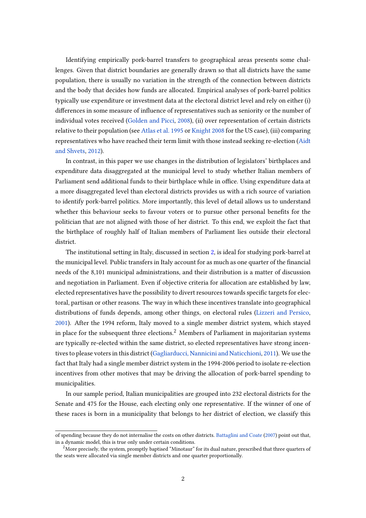Identifying empirically pork-barrel transfers to geographical areas presents some challenges. Given that district boundaries are generally drawn so that all districts have the same population, there is usually no variation in the strength of the connection between districts and the body that decides how funds are allocated. Empirical analyses of pork-barrel politics typically use expenditure or investment data at the electoral district level and rely on either (i) differences in some measure of influence of representatives such as seniority or the number of individual votes received [\(Golden and Picci,](#page-27-1) [2008\)](#page-27-1), (ii) over representation of certain districts relative to their population (see [Atlas et al.](#page-26-0) [1995](#page-26-0) or [Knight](#page-27-2) [2008](#page-27-2) for the US case), (iii) comparing representatives who have reached their term limit with those instead seeking re-election [\(Aidt](#page-26-1) [and Shvets,](#page-26-1) [2012\)](#page-26-1).

In contrast, in this paper we use changes in the distribution of legislators' birthplaces and expenditure data disaggregated at the municipal level to study whether Italian members of Parliament send additional funds to their birthplace while in office. Using expenditure data at a more disaggregated level than electoral districts provides us with a rich source of variation to identify pork-barrel politics. More importantly, this level of detail allows us to understand whether this behaviour seeks to favour voters or to pursue other personal benefits for the politician that are not aligned with those of her district. To this end, we exploit the fact that the birthplace of roughly half of Italian members of Parliament lies outside their electoral district.

The institutional setting in Italy, discussed in section [2,](#page-5-0) is ideal for studying pork-barrel at the municipal level. Public transfers in Italy account for as much as one quarter of the financial needs of the 8,101 municipal administrations, and their distribution is a matter of discussion and negotiation in Parliament. Even if objective criteria for allocation are established by law, elected representatives have the possibility to divert resources towards specific targets for electoral, partisan or other reasons. The way in which these incentives translate into geographical distributions of funds depends, among other things, on electoral rules [\(Lizzeri and Persico,](#page-27-3) [2001\)](#page-27-3). After the 1994 reform, Italy moved to a single member district system, which stayed in place for the subsequent three elections.<sup>2</sup> Members of Parliament in majoritarian systems are typically re-elected within the same district, so elected representatives have strong incentives to please voters in this district [\(Gagliarducci, Nannicini and Naticchioni,](#page-27-4) [2011\)](#page-27-4). We use the fact that Italy had a single member district system in the 1994-2006 period to isolate re-election incentives from other motives that may be driving the allocation of pork-barrel spending to municipalities.

In our sample period, Italian municipalities are grouped into 232 electoral districts for the Senate and 475 for the House, each electing only one representative. If the winner of one of these races is born in a municipality that belongs to her district of election, we classify this

of spending because they do not internalise the costs on other districts. [Battaglini and Coate](#page-26-2) [\(2007\)](#page-26-2) point out that, in a dynamic model, this is true only under certain conditions.

<sup>&</sup>lt;sup>2</sup>More precisely, the system, promptly baptised "Minotaur" for its dual nature, prescribed that three quarters of the seats were allocated via single member districts and one quarter proportionally.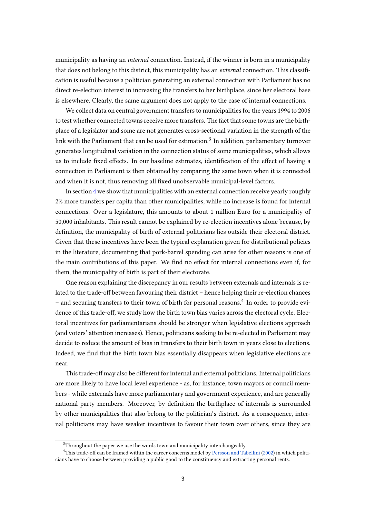municipality as having an internal connection. Instead, if the winner is born in a municipality that does not belong to this district, this municipality has an *external* connection. This classification is useful because a politician generating an external connection with Parliament has no direct re-election interest in increasing the transfers to her birthplace, since her electoral base is elsewhere. Clearly, the same argument does not apply to the case of internal connections.

We collect data on central government transfers to municipalities for the years 1994 to 2006 to test whether connected towns receive more transfers. The fact that some towns are the birthplace of a legislator and some are not generates cross-sectional variation in the strength of the link with the Parliament that can be used for estimation. $^3$  In addition, parliamentary turnover generates longitudinal variation in the connection status of some municipalities, which allows us to include fixed effects. In our baseline estimates, identification of the effect of having a connection in Parliament is then obtained by comparing the same town when it is connected and when it is not, thus removing all fixed unobservable municipal-level factors.

In section [4](#page-8-0) we show that municipalities with an external connection receive yearly roughly 2% more transfers per capita than other municipalities, while no increase is found for internal connections. Over a legislature, this amounts to about 1 million Euro for a municipality of 50,000 inhabitants. This result cannot be explained by re-election incentives alone because, by definition, the municipality of birth of external politicians lies outside their electoral district. Given that these incentives have been the typical explanation given for distributional policies in the literature, documenting that pork-barrel spending can arise for other reasons is one of the main contributions of this paper. We find no effect for internal connections even if, for them, the municipality of birth is part of their electorate.

One reason explaining the discrepancy in our results between externals and internals is related to the trade-off between favouring their district – hence helping their re-election chances  $-$  and securing transfers to their town of birth for personal reasons.<sup>4</sup> In order to provide evidence of this trade-off, we study how the birth town bias varies across the electoral cycle. Electoral incentives for parliamentarians should be stronger when legislative elections approach (and voters' attention increases). Hence, politicians seeking to be re-elected in Parliament may decide to reduce the amount of bias in transfers to their birth town in years close to elections. Indeed, we find that the birth town bias essentially disappears when legislative elections are near.

This trade-off may also be different for internal and external politicians. Internal politicians are more likely to have local level experience - as, for instance, town mayors or council members - while externals have more parliamentary and government experience, and are generally national party members. Moreover, by definition the birthplace of internals is surrounded by other municipalities that also belong to the politician's district. As a consequence, internal politicians may have weaker incentives to favour their town over others, since they are

 $3$ Throughout the paper we use the words town and municipality interchangeably.

<sup>&</sup>lt;sup>4</sup>This trade-off can be framed within the career concerns model by [Persson and Tabellini](#page-27-5) [\(2002\)](#page-27-5) in which politicians have to choose between providing a public good to the constituency and extracting personal rents.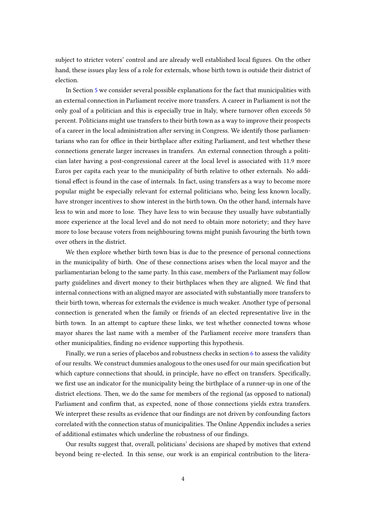subject to stricter voters' control and are already well established local figures. On the other hand, these issues play less of a role for externals, whose birth town is outside their district of election.

In Section [5](#page-18-0) we consider several possible explanations for the fact that municipalities with an external connection in Parliament receive more transfers. A career in Parliament is not the only goal of a politician and this is especially true in Italy, where turnover often exceeds 50 percent. Politicians might use transfers to their birth town as a way to improve their prospects of a career in the local administration after serving in Congress. We identify those parliamentarians who ran for office in their birthplace after exiting Parliament, and test whether these connections generate larger increases in transfers. An external connection through a politician later having a post-congressional career at the local level is associated with 11.9 more Euros per capita each year to the municipality of birth relative to other externals. No additional effect is found in the case of internals. In fact, using transfers as a way to become more popular might be especially relevant for external politicians who, being less known locally, have stronger incentives to show interest in the birth town. On the other hand, internals have less to win and more to lose. They have less to win because they usually have substantially more experience at the local level and do not need to obtain more notoriety; and they have more to lose because voters from neighbouring towns might punish favouring the birth town over others in the district.

We then explore whether birth town bias is due to the presence of personal connections in the municipality of birth. One of these connections arises when the local mayor and the parliamentarian belong to the same party. In this case, members of the Parliament may follow party guidelines and divert money to their birthplaces when they are aligned. We find that internal connections with an aligned mayor are associated with substantially more transfers to their birth town, whereas for externals the evidence is much weaker. Another type of personal connection is generated when the family or friends of an elected representative live in the birth town. In an attempt to capture these links, we test whether connected towns whose mayor shares the last name with a member of the Parliament receive more transfers than other municipalities, finding no evidence supporting this hypothesis.

Finally, we run a series of placebos and robustness checks in section [6](#page-22-0) to assess the validity of our results. We construct dummies analogous to the ones used for our main specification but which capture connections that should, in principle, have no effect on transfers. Specifically, we first use an indicator for the municipality being the birthplace of a runner-up in one of the district elections. Then, we do the same for members of the regional (as opposed to national) Parliament and confirm that, as expected, none of those connections yields extra transfers. We interpret these results as evidence that our findings are not driven by confounding factors correlated with the connection status of municipalities. The Online Appendix includes a series of additional estimates which underline the robustness of our findings.

Our results suggest that, overall, politicians' decisions are shaped by motives that extend beyond being re-elected. In this sense, our work is an empirical contribution to the litera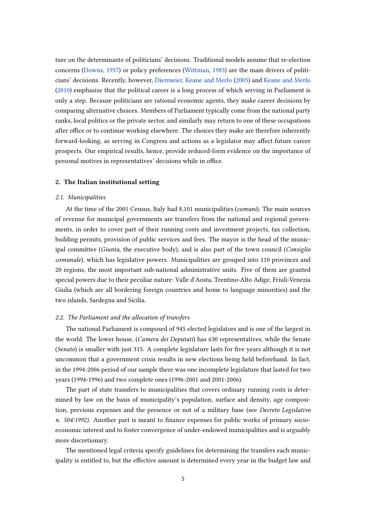ture on the determinants of politicians' decisions. Traditional models assume that re-election concerns [\(Downs,](#page-26-3) [1957\)](#page-26-3) or policy preferences [\(Wittman,](#page-27-6) [1983\)](#page-27-6) are the main drivers of politicians' decisions. Recently, however, [Diermeier, Keane and Merlo](#page-26-4) [\(2005\)](#page-26-4) and [Keane and Merlo](#page-27-7) [\(2010\)](#page-27-7) emphasize that the political career is a long process of which serving in Parliament is only a step. Because politicians are rational economic agents, they make career decisions by comparing alternative choices. Members of Parliament typically come from the national party ranks, local politics or the private sector, and similarly may return to one of these occupations after office or to continue working elsewhere. The choices they make are therefore inherently forward-looking, as serving in Congress and actions as a legislator may affect future career prospects. Our empirical results, hence, provide reduced-form evidence on the importance of personal motives in representatives' decisions while in office.

#### <span id="page-5-0"></span>2. The Italian institutional setting

#### 2.1. Municipalities

At the time of the 2001 Census, Italy had 8,101 municipalities (comuni). The main sources of revenue for municipal governments are transfers from the national and regional governments, in order to cover part of their running costs and investment projects, tax collection, building permits, provision of public services and fees. The mayor is the head of the municipal committee (Giunta, the executive body), and is also part of the town council (Consiglio comunale), which has legislative powers. Municipalities are grouped into 110 provinces and 20 regions, the most important sub-national administrative units. Five of them are granted special powers due to their peculiar nature: Valle d'Aosta, Trentino-Alto Adige, Friuli-Venezia Giulia (which are all bordering foreign countries and home to language minorities) and the two islands, Sardegna and Sicilia.

#### 2.2. The Parliament and the allocation of transfers

The national Parliament is composed of 945 elected legislators and is one of the largest in the world. The lower house, (Camera dei Deputati) has 630 representatives, while the Senate  $(Senato)$  is smaller with just 315. A complete legislature lasts for five years although it is not uncommon that a government crisis results in new elections being held beforehand. In fact, in the 1994-2006 period of our sample there was one incomplete legislature that lasted for two years (1994-1996) and two complete ones (1996-2001 and 2001-2006).

The part of state transfers to municipalities that covers ordinary running costs is determined by law on the basis of municipality's population, surface and density, age composition, previous expenses and the presence or not of a military base (see Decreto Legislativo n.  $504/1992$ ). Another part is meant to finance expenses for public works of primary socioeconomic interest and to foster convergence of under-endowed municipalities and is arguably more discretionary.

The mentioned legal criteria specify guidelines for determining the transfers each municipality is entitled to, but the effective amount is determined every year in the budget law and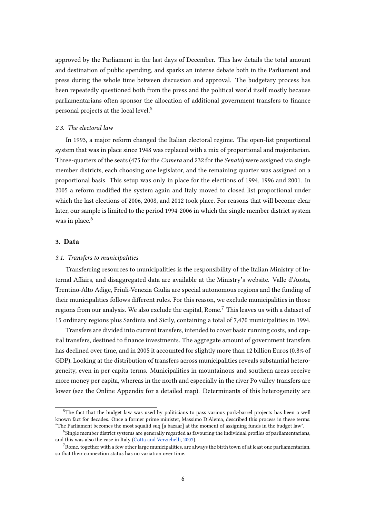approved by the Parliament in the last days of December. This law details the total amount and destination of public spending, and sparks an intense debate both in the Parliament and press during the whole time between discussion and approval. The budgetary process has been repeatedly questioned both from the press and the political world itself mostly because parliamentarians often sponsor the allocation of additional government transfers to finance personal projects at the local level.<sup>5</sup>

#### 2.3. The electoral law

In 1993, a major reform changed the Italian electoral regime. The open-list proportional system that was in place since 1948 was replaced with a mix of proportional and majoritarian. Three-quarters of the seats (475 for the *Camera* and 232 for the *Senato*) were assigned via single member districts, each choosing one legislator, and the remaining quarter was assigned on a proportional basis. This setup was only in place for the elections of 1994, 1996 and 2001. In 2005 a reform modified the system again and Italy moved to closed list proportional under which the last elections of 2006, 2008, and 2012 took place. For reasons that will become clear later, our sample is limited to the period 1994-2006 in which the single member district system was in place.<sup>6</sup>

#### <span id="page-6-0"></span>3. Data

#### 3.1. Transfers to municipalities

Transferring resources to municipalities is the responsibility of the Italian Ministry of Internal Affairs, and disaggregated data are available at the Ministry's website. Valle d'Aosta, Trentino-Alto Adige, Friuli-Venezia Giulia are special autonomous regions and the funding of their municipalities follows different rules. For this reason, we exclude municipalities in those regions from our analysis. We also exclude the capital, Rome.<sup>7</sup> This leaves us with a dataset of 15 ordinary regions plus Sardinia and Sicily, containing a total of 7,470 municipalities in 1994.

Transfers are divided into current transfers, intended to cover basic running costs, and capital transfers, destined to finance investments. The aggregate amount of government transfers has declined over time, and in 2005 it accounted for slightly more than 12 billion Euros (0.8% of GDP). Looking at the distribution of transfers across municipalities reveals substantial heterogeneity, even in per capita terms. Municipalities in mountainous and southern areas receive more money per capita, whereas in the north and especially in the river Po valley transfers are lower (see the Online Appendix for a detailed map). Determinants of this heterogeneity are

<sup>&</sup>lt;sup>5</sup>The fact that the budget law was used by politicians to pass various pork-barrel projects has been a well known fact for decades. Once a former prime minister, Massimo D'Alema, described this process in these terms: "The Parliament becomes the most squalid suq [a bazaar] at the moment of assigning funds in the budget law".

 $^6$ Single member district systems are generally regarded as favouring the individual profiles of parliamentarians, and this was also the case in Italy [\(Cotta and Verzichelli,](#page-26-5) [2007\)](#page-26-5).

 $^7$ Rome, together with a few other large municipalities, are always the birth town of at least one parliamentarian, so that their connection status has no variation over time.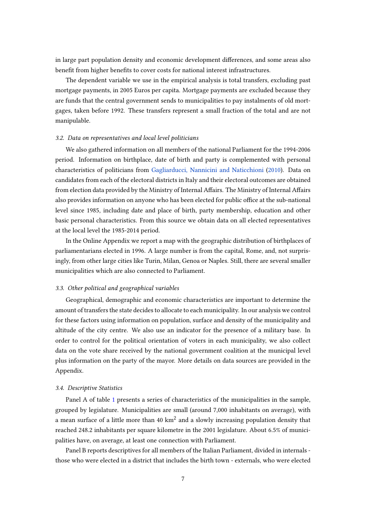in large part population density and economic development differences, and some areas also benefit from higher benefits to cover costs for national interest infrastructures.

The dependent variable we use in the empirical analysis is total transfers, excluding past mortgage payments, in 2005 Euros per capita. Mortgage payments are excluded because they are funds that the central government sends to municipalities to pay instalments of old mortgages, taken before 1992. These transfers represent a small fraction of the total and are not manipulable.

#### 3.2. Data on representatives and local level politicians

We also gathered information on all members of the national Parliament for the 1994-2006 period. Information on birthplace, date of birth and party is complemented with personal characteristics of politicians from [Gagliarducci, Nannicini and Naticchioni](#page-26-6) [\(2010\)](#page-26-6). Data on candidates from each of the electoral districts in Italy and their electoral outcomes are obtained from election data provided by the Ministry of Internal Affairs. The Ministry of Internal Affairs also provides information on anyone who has been elected for public office at the sub-national level since 1985, including date and place of birth, party membership, education and other basic personal characteristics. From this source we obtain data on all elected representatives at the local level the 1985-2014 period.

In the Online Appendix we report a map with the geographic distribution of birthplaces of parliamentarians elected in 1996. A large number is from the capital, Rome, and, not surprisingly, from other large cities like Turin, Milan, Genoa or Naples. Still, there are several smaller municipalities which are also connected to Parliament.

#### 3.3. Other political and geographical variables

Geographical, demographic and economic characteristics are important to determine the amount of transfers the state decides to allocate to each municipality. In our analysis we control for these factors using information on population, surface and density of the municipality and altitude of the city centre. We also use an indicator for the presence of a military base. In order to control for the political orientation of voters in each municipality, we also collect data on the vote share received by the national government coalition at the municipal level plus information on the party of the mayor. More details on data sources are provided in the Appendix.

#### 3.4. Descriptive Statistics

Panel A of table [1](#page-9-0) presents a series of characteristics of the municipalities in the sample, grouped by legislature. Municipalities are small (around 7,000 inhabitants on average), with a mean surface of a little more than 40 km<sup>2</sup> and a slowly increasing population density that reached 248.2 inhabitants per square kilometre in the 2001 legislature. About 6.5% of municipalities have, on average, at least one connection with Parliament.

Panel B reports descriptives for all members of the Italian Parliament, divided in internals those who were elected in a district that includes the birth town - externals, who were elected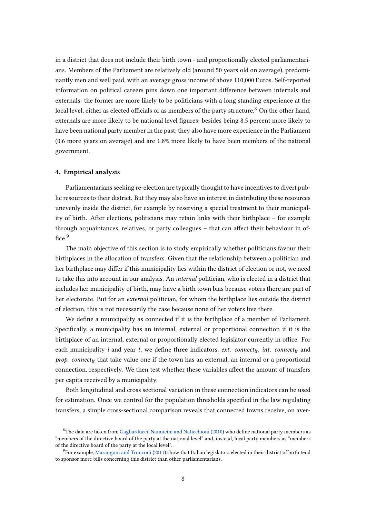in a district that does not include their birth town - and proportionally elected parliamentarians. Members of the Parliament are relatively old (around 50 years old on average), predominantly men and well paid, with an average gross income of above 110,000 Euros. Self-reported information on political careers pins down one important difference between internals and externals: the former are more likely to be politicians with a long standing experience at the local level, either as elected officials or as members of the party structure.<sup>8</sup> On the other hand, externals are more likely to be national level figures: besides being 8.5 percent more likely to have been national party member in the past, they also have more experience in the Parliament (0.6 more years on average) and are 1.8% more likely to have been members of the national government.

#### <span id="page-8-0"></span>4. Empirical analysis

Parliamentarians seeking re-election are typically thought to have incentives to divert public resources to their district. But they may also have an interest in distributing these resources unevenly inside the district, for example by reserving a special treatment to their municipality of birth. After elections, politicians may retain links with their birthplace – for example through acquaintances, relatives, or party colleagues – that can affect their behaviour in office  $9$ 

The main objective of this section is to study empirically whether politicians favour their birthplaces in the allocation of transfers. Given that the relationship between a politician and her birthplace may differ if this municipality lies within the district of election or not, we need to take this into account in our analysis. An internal politician, who is elected in a district that includes her municipality of birth, may have a birth town bias because voters there are part of her electorate. But for an external politician, for whom the birthplace lies outside the district of election, this is not necessarily the case because none of her voters live there.

We define a municipality as connected if it is the birthplace of a member of Parliament. Specifically, a municipality has an internal, external or proportional connection if it is the birthplace of an internal, external or proportionally elected legislator currently in office. For each municipality *i* and year *t*, we define three indicators, *ext.* connect<sub>it</sub>, int. connect<sub>it</sub> and prop. connect<sub>it</sub> that take value one if the town has an external, an internal or a proportional connection, respectively. We then test whether these variables affect the amount of transfers per capita received by a municipality.

Both longitudinal and cross sectional variation in these connection indicators can be used for estimation. Once we control for the population thresholds specified in the law regulating transfers, a simple cross-sectional comparison reveals that connected towns receive, on aver-

 ${}^{8}$ The data are taken from [Gagliarducci, Nannicini and Naticchioni](#page-26-6) [\(2010\)](#page-26-6) who define national party members as "members of the directive board of the party at the national level" and, instead, local party members as "members of the directive board of the party at the local level".

<sup>9</sup> For example, [Marangoni and Tronconi](#page-27-8) [\(2011\)](#page-27-8) show that Italian legislators elected in their district of birth tend to sponsor more bills concerning this district than other parliamentarians.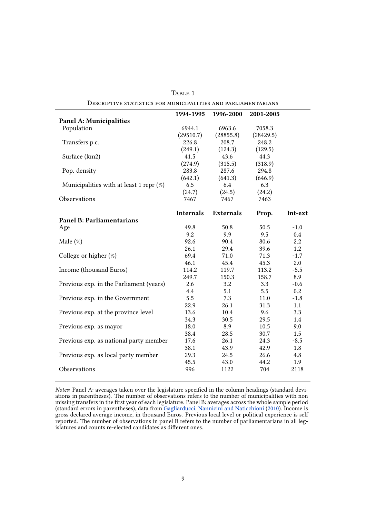<span id="page-9-0"></span>

| DESCRIPTIVE STATISTICS FOR MUNICIPALITIES AND PARLIAMENTARIANS |                  |                  |           |         |  |
|----------------------------------------------------------------|------------------|------------------|-----------|---------|--|
|                                                                | 1994-1995        | 1996-2000        | 2001-2005 |         |  |
| <b>Panel A: Municipalities</b>                                 |                  |                  |           |         |  |
| Population                                                     | 6944.1           | 6963.6           | 7058.3    |         |  |
|                                                                | (29510.7)        | (28855.8)        | (28429.5) |         |  |
| Transfers p.c.                                                 | 226.8            | 208.7            | 248.2     |         |  |
|                                                                | (249.1)          | (124.3)          | (129.5)   |         |  |
| Surface (km2)                                                  | 41.5             | 43.6             | 44.3      |         |  |
|                                                                | (274.9)          | (315.5)          | (318.9)   |         |  |
| Pop. density                                                   | 283.8            | 287.6            | 294.8     |         |  |
|                                                                | (642.1)          | (641.3)          | (646.9)   |         |  |
| Municipalities with at least 1 repr $(\%)$                     | 6.5              | 6.4              | 6.3       |         |  |
|                                                                | (24.7)           | (24.5)           | (24.2)    |         |  |
| Observations                                                   | 7467             | 7467             | 7463      |         |  |
|                                                                | <b>Internals</b> | <b>Externals</b> | Prop.     | Int-ext |  |
| <b>Panel B: Parliamentarians</b>                               |                  |                  |           |         |  |
| Age                                                            | 49.8             | 50.8             | 50.5      | $-1.0$  |  |
|                                                                | 9.2              | 9.9              | 9.5       | 0.4     |  |
| Male $(\%)$                                                    | 92.6             | 90.4             | 80.6      | 2.2     |  |
|                                                                | 26.1             | 29.4             | 39.6      | 1.2     |  |
| College or higher $(\%)$                                       | 69.4             | 71.0             | 71.3      | $-1.7$  |  |
|                                                                | 46.1             | 45.4             | 45.3      | 2.0     |  |
| Income (thousand Euros)                                        | 114.2            | 119.7            | 113.2     | $-5.5$  |  |
|                                                                | 249.7            | 150.3            | 158.7     | 8.9     |  |
| Previous exp. in the Parliament (years)                        | 2.6              | 3.2              | 3.3       | $-0.6$  |  |
|                                                                | 4.4              | 5.1              | 5.5       | 0.2     |  |
| Previous exp. in the Government                                | 5.5              | 7.3              | 11.0      | $-1.8$  |  |
|                                                                | 22.9             | 26.1             | 31.3      | 1.1     |  |
| Previous exp. at the province level                            | 13.6             | 10.4             | 9.6       | 3.3     |  |
|                                                                | 34.3             | 30.5             | 29.5      | 1.4     |  |
| Previous exp. as mayor                                         | 18.0             | 8.9              | 10.5      | 9.0     |  |
|                                                                | 38.4             | 28.5             | 30.7      | 1.5     |  |
| Previous exp. as national party member                         | 17.6             | 26.1             | 24.3      | $-8.5$  |  |
|                                                                | 38.1             | 43.9             | 42.9      | 1.8     |  |
| Previous exp. as local party member                            | 29.3             | 24.5             | 26.6      | 4.8     |  |
|                                                                | 45.5             | 43.0             | 44.2      | 1.9     |  |
| Observations                                                   | 996              | 1122             | 704       | 2118    |  |
|                                                                |                  |                  |           |         |  |

TABLE 1 Descriptive statistics for municipalities and parliamentarians

l,

Notes: Panel A: averages taken over the legislature specified in the column headings (standard deviations in parentheses). The number of observations refers to the number of municipalities with non missing transfers in the first year of each legislature. Panel B: averages across the whole sample period (standard errors in parentheses), data from [Gagliarducci, Nannicini and Naticchioni](#page-26-6) [\(2010\)](#page-26-6). Income is gross declared average income, in thousand Euros. Previous local level or political experience is self reported. The number of observations in panel B refers to the number of parliamentarians in all legislatures and counts re-elected candidates as different ones.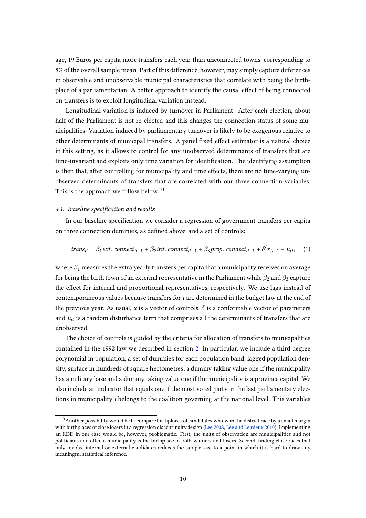age, 19 Euros per capita more transfers each year than unconnected towns, corresponding to 8% of the overall sample mean. Part of this difference, however, may simply capture differences in observable and unobservable municipal characteristics that correlate with being the birthplace of a parliamentarian. A better approach to identify the causal effect of being connected on transfers is to exploit longitudinal variation instead.

Longitudinal variation is induced by turnover in Parliament. After each election, about half of the Parliament is not re-elected and this changes the connection status of some municipalities. Variation induced by parliamentary turnover is likely to be exogenous relative to other determinants of municipal transfers. A panel fixed effect estimator is a natural choice in this setting, as it allows to control for any unobserved determinants of transfers that are time-invariant and exploits only time variation for identification. The identifying assumption is then that, after controlling for municipality and time effects, there are no time-varying unobserved determinants of transfers that are correlated with our three connection variables. This is the approach we follow below.<sup>10</sup>

#### 4.1. Baseline specification and results

In our baseline specification we consider a regression of government transfers per capita on three connection dummies, as defined above, and a set of controls:

<span id="page-10-0"></span>
$$
trans_{it} = \beta_1 ext. \ connect_{it-1} + \beta_2 int. \ connect_{it-1} + \beta_3 prop. \ connect_{it-1} + \delta' x_{it-1} + u_{it}, \quad (1)
$$

where  $\beta_1$  measures the extra yearly transfers per capita that a municipality receives on average for being the birth town of an external representative in the Parliament while  $\beta_2$  and  $\beta_3$  capture the effect for internal and proportional representatives, respectively. We use lags instead of contemporaneous values because transfers for  $t$  are determined in the budget law at the end of the previous year. As usual, x is a vector of controls,  $\delta$  is a conformable vector of parameters and  $u_{it}$  is a random disturbance term that comprises all the determinants of transfers that are unobserved.

The choice of controls is guided by the criteria for allocation of transfers to municipalities contained in the 1992 law we described in section [2.](#page-5-0) In particular, we include a third degree polynomial in population, a set of dummies for each population band, lagged population density, surface in hundreds of square hectometres, a dummy taking value one if the municipality has a military base and a dummy taking value one if the municipality is a province capital. We also include an indicator that equals one if the most voted party in the last parliamentary elections in municipality i belongs to the coalition governing at the national level. This variables

 $10$ Another possibility would be to compare birthplaces of candidates who won the district race by a small margin with birthplaces of close losers in a regression discontinuity design [\(Lee](#page-27-9) [2008,](#page-27-9) [Lee and Lemieux](#page-27-10) [2010\)](#page-27-10). Implementing an RDD in our case would be, however, problematic. First, the units of observation are municipalities and not politicians and often a municipality is the birthplace of both winners and losers. Second, finding close races that only involve internal or external candidates reduces the sample size to a point in which it is hard to draw any meaningful statistical inference.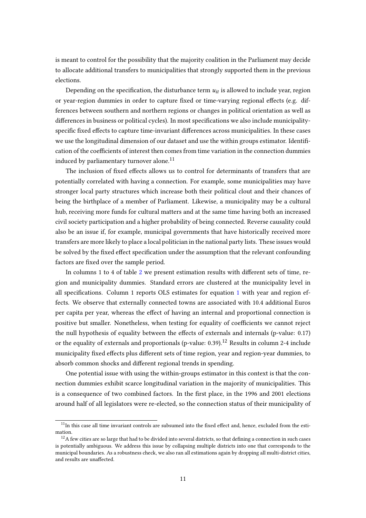is meant to control for the possibility that the majority coalition in the Parliament may decide to allocate additional transfers to municipalities that strongly supported them in the previous elections.

Depending on the specification, the disturbance term  $u_{it}$  is allowed to include year, region or year-region dummies in order to capture fixed or time-varying regional effects (e.g. differences between southern and northern regions or changes in political orientation as well as differences in business or political cycles). In most specifications we also include municipalityspecific fixed effects to capture time-invariant differences across municipalities. In these cases we use the longitudinal dimension of our dataset and use the within groups estimator. Identification of the coefficients of interest then comes from time variation in the connection dummies induced by parliamentary turnover alone.<sup>11</sup>

The inclusion of fixed effects allows us to control for determinants of transfers that are potentially correlated with having a connection. For example, some municipalities may have stronger local party structures which increase both their political clout and their chances of being the birthplace of a member of Parliament. Likewise, a municipality may be a cultural hub, receiving more funds for cultural matters and at the same time having both an increased civil society participation and a higher probability of being connected. Reverse causality could also be an issue if, for example, municipal governments that have historically received more transfers are more likely to place a local politician in the national party lists. These issues would be solved by the fixed effect specification under the assumption that the relevant confounding factors are fixed over the sample period.

In columns 1 to 4 of table [2](#page-13-0) we present estimation results with different sets of time, region and municipality dummies. Standard errors are clustered at the municipality level in all specifications. Column [1](#page-10-0) reports OLS estimates for equation 1 with year and region effects. We observe that externally connected towns are associated with 10.4 additional Euros per capita per year, whereas the effect of having an internal and proportional connection is positive but smaller. Nonetheless, when testing for equality of coefficients we cannot reject the null hypothesis of equality between the effects of externals and internals (p-value: 0.17) or the equality of externals and proportionals (p-value: 0.39).<sup>12</sup> Results in column 2-4 include municipality fixed effects plus different sets of time region, year and region-year dummies, to absorb common shocks and different regional trends in spending.

One potential issue with using the within-groups estimator in this context is that the connection dummies exhibit scarce longitudinal variation in the majority of municipalities. This is a consequence of two combined factors. In the first place, in the 1996 and 2001 elections around half of all legislators were re-elected, so the connection status of their municipality of

 $11$ In this case all time invariant controls are subsumed into the fixed effect and, hence, excluded from the estimation.

 $12A$  few cities are so large that had to be divided into several districts, so that defining a connection in such cases is potentially ambiguous. We address this issue by collapsing multiple districts into one that corresponds to the municipal boundaries. As a robustness check, we also ran all estimations again by dropping all multi-district cities, and results are unaffected.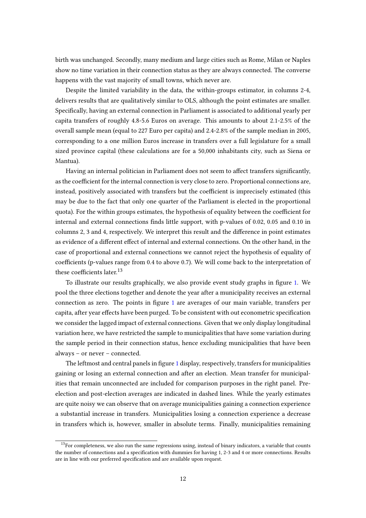birth was unchanged. Secondly, many medium and large cities such as Rome, Milan or Naples show no time variation in their connection status as they are always connected. The converse happens with the vast majority of small towns, which never are.

Despite the limited variability in the data, the within-groups estimator, in columns 2-4, delivers results that are qualitatively similar to OLS, although the point estimates are smaller. Specifically, having an external connection in Parliament is associated to additional yearly per capita transfers of roughly 4.8-5.6 Euros on average. This amounts to about 2.1-2.5% of the overall sample mean (equal to 227 Euro per capita) and 2.4-2.8% of the sample median in 2005, corresponding to a one million Euros increase in transfers over a full legislature for a small sized province capital (these calculations are for a 50,000 inhabitants city, such as Siena or Mantua).

Having an internal politician in Parliament does not seem to affect transfers significantly, as the coefficient for the internal connection is very close to zero. Proportional connections are, instead, positively associated with transfers but the coefficient is imprecisely estimated (this may be due to the fact that only one quarter of the Parliament is elected in the proportional quota). For the within groups estimates, the hypothesis of equality between the coefficient for internal and external connections finds little support, with p-values of 0.02, 0.05 and 0.10 in columns 2, 3 and 4, respectively. We interpret this result and the difference in point estimates as evidence of a different effect of internal and external connections. On the other hand, in the case of proportional and external connections we cannot reject the hypothesis of equality of coefficients (p-values range from  $0.4$  to above  $0.7$ ). We will come back to the interpretation of these coefficients later. $13$ 

To illustrate our results graphically, we also provide event study graphs in figure [1.](#page-13-1) We pool the three elections together and denote the year after a municipality receives an external connection as zero. The points in figure [1](#page-13-1) are averages of our main variable, transfers per capita, after year effects have been purged. To be consistent with out econometric specification we consider the lagged impact of external connections. Given that we only display longitudinal variation here, we have restricted the sample to municipalities that have some variation during the sample period in their connection status, hence excluding municipalities that have been always – or never – connected.

The leftmost and central panels in figure [1](#page-13-1) display, respectively, transfers for municipalities gaining or losing an external connection and after an election. Mean transfer for municipalities that remain unconnected are included for comparison purposes in the right panel. Preelection and post-election averages are indicated in dashed lines. While the yearly estimates are quite noisy we can observe that on average municipalities gaining a connection experience a substantial increase in transfers. Municipalities losing a connection experience a decrease in transfers which is, however, smaller in absolute terms. Finally, municipalities remaining

 $13$ For completeness, we also run the same regressions using, instead of binary indicators, a variable that counts the number of connections and a specification with dummies for having 1, 2-3 and 4 or more connections. Results are in line with our preferred specification and are available upon request.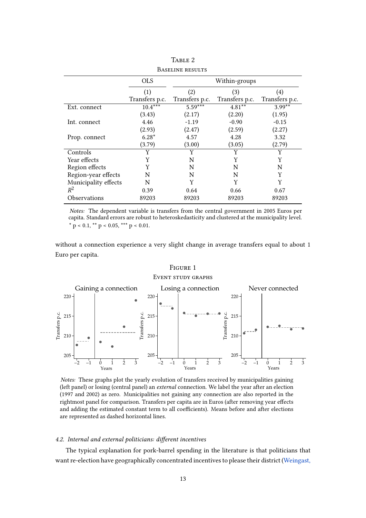<span id="page-13-0"></span>

| <b>BASELINE RESULTS</b> |                      |                |                   |                   |
|-------------------------|----------------------|----------------|-------------------|-------------------|
|                         | <b>OLS</b>           | Within-groups  |                   |                   |
|                         | (1)                  | (2)            | $\left( 3\right)$ | $\left( 4\right)$ |
|                         | Transfers p.c.       | Transfers p.c. | Transfers p.c.    | Transfers p.c.    |
| Ext. connect            | $10.\overline{4***}$ | $5.59***$      | $4.81**$          | $3.99***$         |
|                         | (3.43)               | (2.17)         | (2.20)            | (1.95)            |
| Int. connect            | 4.46                 | $-1.19$        | $-0.90$           | $-0.15$           |
|                         | (2.93)               | (2.47)         | (2.59)            | (2.27)            |
| Prop. connect           | $6.28*$              | 4.57           | 4.28              | 3.32              |
|                         | (3.79)               | (3.00)         | (3.05)            | (2.79)            |
| Controls                | Y                    | Y              | Y                 | Y                 |
| Year effects            | Y                    | N              | Y                 | Y                 |
| Region effects          | Y                    | N              | N                 | N                 |
| Region-year effects     | N                    | N              | N                 | Y                 |
| Municipality effects    | N                    |                |                   | Y                 |
| $R^2$                   | 0.39                 | 0.64           | 0.66              | 0.67              |
| Observations            | 89203                | 89203          | 89203             | 89203             |

TABLE 2

Notes: The dependent variable is transfers from the central government in 2005 Euros per capita. Standard errors are robust to heteroskedasticity and clustered at the municipality level. \* p < 0.1, \*\* p < 0.05, \*\*\* p < 0.01.

without a connection experience a very slight change in average transfers equal to about 1 Euro per capita.



<span id="page-13-1"></span>

Notes: These graphs plot the yearly evolution of transfers received by municipalities gaining (left panel) or losing (central panel) an external connection. We label the year after an election (1997 and 2002) as zero. Municipalities not gaining any connection are also reported in the rightmost panel for comparison. Transfers per capita are in Euros (after removing year effects and adding the estimated constant term to all coefficients). Means before and after elections are represented as dashed horizontal lines.

#### 4.2. Internal and external politicians: different incentives

The typical explanation for pork-barrel spending in the literature is that politicians that want re-election have geographically concentrated incentives to please their district [\(Weingast,](#page-27-0)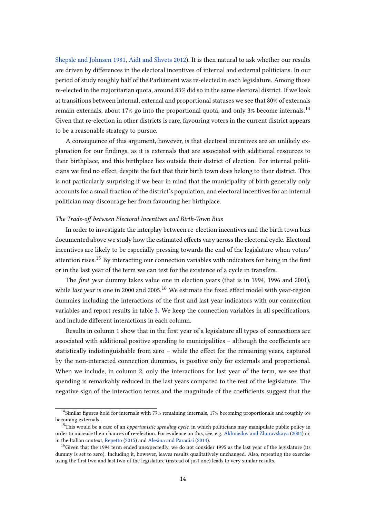[Shepsle and Johnsen](#page-27-0) [1981,](#page-27-0) [Aidt and Shvets](#page-26-1) [2012\)](#page-26-1). It is then natural to ask whether our results are driven by differences in the electoral incentives of internal and external politicians. In our period of study roughly half of the Parliament was re-elected in each legislature. Among those re-elected in the majoritarian quota, around 83% did so in the same electoral district. If we look at transitions between internal, external and proportional statuses we see that 80% of externals remain externals, about 17% go into the proportional quota, and only 3% become internals.<sup>14</sup> Given that re-election in other districts is rare, favouring voters in the current district appears to be a reasonable strategy to pursue.

A consequence of this argument, however, is that electoral incentives are an unlikely explanation for our findings, as it is externals that are associated with additional resources to their birthplace, and this birthplace lies outside their district of election. For internal politicians we find no effect, despite the fact that their birth town does belong to their district. This is not particularly surprising if we bear in mind that the municipality of birth generally only accounts for a small fraction of the district's population, and electoral incentives for an internal politician may discourage her from favouring her birthplace.

#### The Trade-off between Electoral Incentives and Birth-Town Bias

In order to investigate the interplay between re-election incentives and the birth town bias documented above we study how the estimated effects vary across the electoral cycle. Electoral incentives are likely to be especially pressing towards the end of the legislature when voters' attention rises.<sup>15</sup> By interacting our connection variables with indicators for being in the first or in the last year of the term we can test for the existence of a cycle in transfers.

The *first year* dummy takes value one in election years (that is in 1994, 1996 and 2001), while *last year* is one in 2000 and 2005.<sup>16</sup> We estimate the fixed effect model with year-region dummies including the interactions of the first and last year indicators with our connection variables and report results in table [3.](#page-15-0) We keep the connection variables in all specifications, and include different interactions in each column.

Results in column 1 show that in the first year of a legislature all types of connections are associated with additional positive spending to municipalities  $-$  although the coefficients are statistically indistinguishable from zero  $-$  while the effect for the remaining years, captured by the non-interacted connection dummies, is positive only for externals and proportional. When we include, in column 2, only the interactions for last year of the term, we see that spending is remarkably reduced in the last years compared to the rest of the legislature. The negative sign of the interaction terms and the magnitude of the coefficients suggest that the

<sup>&</sup>lt;sup>14</sup>Similar figures hold for internals with 77% remaining internals, 17% becoming proportionals and roughly 6% becoming externals.

 $15$ This would be a case of an *opportunistic spending cycle*, in which politicians may manipulate public policy in order to increase their chances of re-election. For evidence on this, see, e.g. [Akhmedov and Zhuravskaya](#page-26-7) [\(2004\)](#page-26-7) or, in the Italian context, [Repetto](#page-27-11) [\(2015\)](#page-27-11) and [Alesina and Paradisi](#page-26-8) [\(2014\)](#page-26-8).

<sup>&</sup>lt;sup>16</sup>Given that the 1994 term ended unexpectedly, we do not consider 1995 as the last year of the legislature (its dummy is set to zero). Including it, however, leaves results qualitatively unchanged. Also, repeating the exercise using the first two and last two of the legislature (instead of just one) leads to very similar results.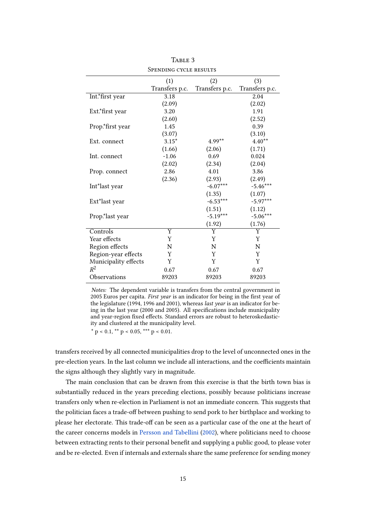<span id="page-15-0"></span>

| OPENDING CYCLE RESULIS |                |                |                |  |
|------------------------|----------------|----------------|----------------|--|
|                        | (1)            | (2)            | (3)            |  |
|                        | Transfers p.c. | Transfers p.c. | Transfers p.c. |  |
| Int.*first year        | 3.18           |                | 2.04           |  |
|                        | (2.09)         |                | (2.02)         |  |
| Ext.*first year        | 3.20           |                | 1.91           |  |
|                        | (2.60)         |                | (2.52)         |  |
| Prop.*first year       | 1.45           |                | 0.39           |  |
|                        | (3.07)         |                | (3.10)         |  |
| Ext. connect           | $3.15*$        | $4.99**$       | $4.40**$       |  |
|                        | (1.66)         | (2.06)         | (1.71)         |  |
| Int. connect           | $-1.06$        | 0.69           | 0.024          |  |
|                        | (2.02)         | (2.34)         | (2.04)         |  |
| Prop. connect          | 2.86           | 4.01           | 3.86           |  |
|                        | (2.36)         | (2.93)         | (2.49)         |  |
| Int*last year          |                | $-6.07***$     | $-5.46***$     |  |
|                        |                | (1.35)         | (1.07)         |  |
| Ext*last year          |                | $-6.53***$     | $-5.97***$     |  |
|                        |                | (1.51)         | (1.12)         |  |
| Prop.*last year        |                | $-5.19***$     | $-5.06***$     |  |
|                        |                | (1.92)         | (1.76)         |  |
| Controls               | Y              | Y              | Y              |  |
| Year effects           | Y              | Y              | Y              |  |
| Region effects         | N              | N              | N              |  |
| Region-year effects    | Y              | Y              | Y              |  |
| Municipality effects   | Y              | Y              | Y              |  |
| $R^2$                  | 0.67           | 0.67           | 0.67           |  |
| Observations           | 89203          | 89203          | 89203          |  |

TABLE 3 spending cycle results

Notes: The dependent variable is transfers from the central government in  $2005$  Euros per capita. First year is an indicator for being in the first year of the legislature (1994, 1996 and 2001), whereas last year is an indicator for being in the last year (2000 and 2005). All specifications include municipality and year-region fixed effects. Standard errors are robust to heteroskedasticity and clustered at the municipality level.

\*  $p < 0.1$ , \*\*  $p < 0.05$ , \*\*\*  $p < 0.01$ .

transfers received by all connected municipalities drop to the level of unconnected ones in the pre-election years. In the last column we include all interactions, and the coefficients maintain the signs although they slightly vary in magnitude.

The main conclusion that can be drawn from this exercise is that the birth town bias is substantially reduced in the years preceding elections, possibly because politicians increase transfers only when re-election in Parliament is not an immediate concern. This suggests that the politician faces a trade-off between pushing to send pork to her birthplace and working to please her electorate. This trade-off can be seen as a particular case of the one at the heart of the career concerns models in [Persson and Tabellini](#page-27-5) [\(2002\)](#page-27-5), where politicians need to choose between extracting rents to their personal benefit and supplying a public good, to please voter and be re-elected. Even if internals and externals share the same preference for sending money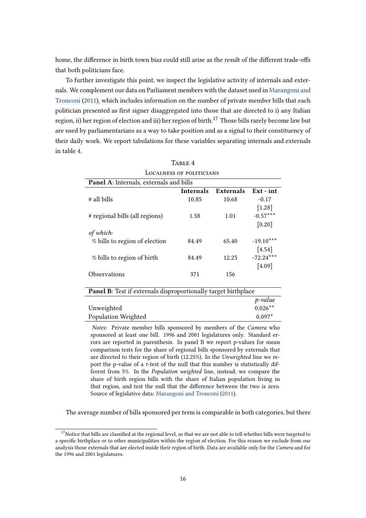home, the difference in birth town bias could still arise as the result of the different trade-offs that both politicians face.

To further investigate this point, we inspect the legislative activity of internals and externals. We complement our data on Parliament members with the dataset used in [Marangoni and](#page-27-8) [Tronconi](#page-27-8) [\(2011\)](#page-27-8), which includes information on the number of private member bills that each politician presented as first signer disaggregated into those that are directed to i) any Italian region, ii) her region of election and iii) her region of birth.<sup>17</sup> Those bills rarely become law but are used by parliamentarians as a way to take position and as a signal to their constituency of their daily work. We report tabulations for these variables separating internals and externals in table [4.](#page-16-0)

TABLE 4

<span id="page-16-0"></span>

| LOCALNESS OF POLITICIANS                                              |                  |           |             |
|-----------------------------------------------------------------------|------------------|-----------|-------------|
| Panel A: Internals, externals and bills                               |                  |           |             |
|                                                                       | <b>Internals</b> | Externals | $Ext - int$ |
| # all bills                                                           | 10.85            | 10.68     | $-0.17$     |
|                                                                       |                  |           | $[1.28]$    |
| # regional bills (all regions)                                        | 1.58             | 1.01      | $-0.57***$  |
|                                                                       |                  |           | [0.20]      |
| of which:                                                             |                  |           |             |
| % bills to region of election                                         | 84.49            | 65.40     | $-19.10***$ |
|                                                                       |                  |           | [4.54]      |
| % bills to region of birth                                            | 84.49            | 12.25     | $-72.24***$ |
|                                                                       |                  |           | $[4.09]$    |
| Observations                                                          | 371              | 156       |             |
|                                                                       |                  |           |             |
| <b>Panel B:</b> Test if externals disproportionally target birthplace |                  |           |             |
|                                                                       |                  |           | $p$ -value  |
| Unweighted                                                            |                  |           | $0.026***$  |

Notes: Private member bills sponsored by members of the Camera who sponsored at least one bill. 1996 and 2001 legislatures only. Standard errors are reported in parenthesis. In panel B we report p-values for mean comparison tests for the share of regional bills sponsored by externals that are directed to their region of birth (12.25%). In the Unweighted line we report the p-value of a t-test of the null that this number is statistically different from 5%. In the Population weighted line, instead, we compare the share of birth region bills with the share of Italian population living in that region, and test the null that the difference between the two is zero. Source of legislative data: [Marangoni and Tronconi](#page-27-8) [\(2011\)](#page-27-8).

Population Weighted 0.097<sup>∗</sup>

The average number of bills sponsored per term is comparable in both categories, but there

 $17$ Notice that bills are classified at the regional level, so that we are not able to tell whether bills were targeted to a specific birthplace or to other municipalities within the region of election. For this reason we exclude from our analysis those externals that are elected inside their region of birth. Data are available only for the Camera and for the 1996 and 2001 legislatures.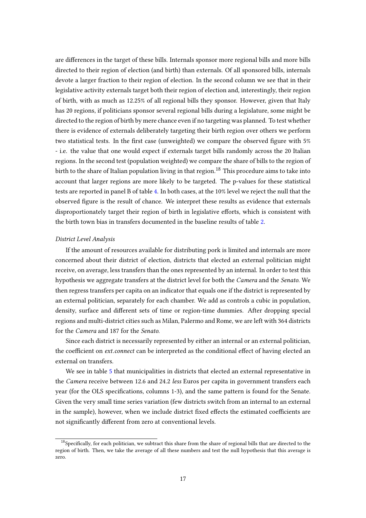are differences in the target of these bills. Internals sponsor more regional bills and more bills directed to their region of election (and birth) than externals. Of all sponsored bills, internals devote a larger fraction to their region of election. In the second column we see that in their legislative activity externals target both their region of election and, interestingly, their region of birth, with as much as 12.25% of all regional bills they sponsor. However, given that Italy has 20 regions, if politicians sponsor several regional bills during a legislature, some might be directed to the region of birth by mere chance even if no targeting was planned. To test whether there is evidence of externals deliberately targeting their birth region over others we perform two statistical tests. In the first case (unweighted) we compare the observed figure with 5% - i.e. the value that one would expect if externals target bills randomly across the 20 Italian regions. In the second test (population weighted) we compare the share of bills to the region of birth to the share of Italian population living in that region.<sup>18</sup> This procedure aims to take into account that larger regions are more likely to be targeted. The p-values for these statistical tests are reported in panel B of table [4.](#page-16-0) In both cases, at the 10% level we reject the null that the observed figure is the result of chance. We interpret these results as evidence that externals disproportionately target their region of birth in legislative efforts, which is consistent with the birth town bias in transfers documented in the baseline results of table [2.](#page-13-0)

#### District Level Analysis

If the amount of resources available for distributing pork is limited and internals are more concerned about their district of election, districts that elected an external politician might receive, on average, less transfers than the ones represented by an internal. In order to test this hypothesis we aggregate transfers at the district level for both the Camera and the Senato. We then regress transfers per capita on an indicator that equals one if the district is represented by an external politician, separately for each chamber. We add as controls a cubic in population, density, surface and different sets of time or region-time dummies. After dropping special regions and multi-district cities such as Milan, Palermo and Rome, we are left with 364 districts for the Camera and 187 for the Senato.

Since each district is necessarily represented by either an internal or an external politician, the coefficient on *ext.connect* can be interpreted as the conditional effect of having elected an external on transfers.

We see in table [5](#page-18-1) that municipalities in districts that elected an external representative in the Camera receive between 12.6 and 24.2 less Euros per capita in government transfers each year (for the OLS specifications, columns 1-3), and the same pattern is found for the Senate. Given the very small time series variation (few districts switch from an internal to an external in the sample), however, when we include district fixed effects the estimated coefficients are not significantly different from zero at conventional levels.

<sup>&</sup>lt;sup>18</sup>Specifically, for each politician, we subtract this share from the share of regional bills that are directed to the region of birth. Then, we take the average of all these numbers and test the null hypothesis that this average is zero.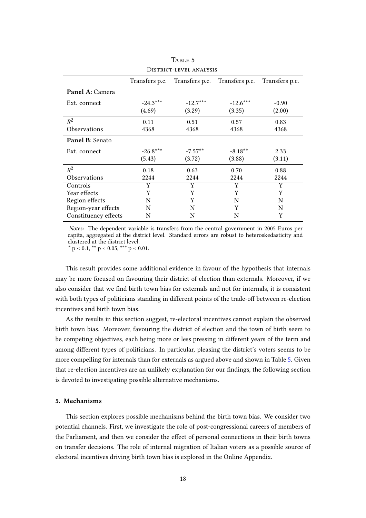<span id="page-18-1"></span>

| DISTRICT-LEVEL ANALYSIS |                |                |                |                |
|-------------------------|----------------|----------------|----------------|----------------|
|                         | Transfers p.c. | Transfers p.c. | Transfers p.c. | Transfers p.c. |
| <b>Panel A:</b> Camera  |                |                |                |                |
| Ext. connect            | $-24.3***$     | $-12.7***$     | $-12.6***$     | $-0.90$        |
|                         | (4.69)         | (3.29)         | (3.35)         | (2.00)         |
| $R^2$                   | 0.11           | 0.51           | 0.57           | 0.83           |
| Observations            | 4368           | 4368           | 4368           | 4368           |
| <b>Panel B: Senato</b>  |                |                |                |                |
| Ext. connect            | $-26.8***$     | $-7.57**$      | $-8.18**$      | 2.33           |
|                         | (5.43)         | (3.72)         | (3.88)         | (3.11)         |
| $R^2$                   | 0.18           | 0.63           | 0.70           | 0.88           |
| <b>Observations</b>     | 2244           | 2244           | 2244           | 2244           |
| Controls                | Y              | Y              | Y              | Y              |
| Year effects            | Y              | Y              | Y              | Y              |
| Region effects          | N              | Y              | N              | N              |
| Region-year effects     | N              | N              | Y              | N              |
| Constituency effects    | N              | N              | N              | Y              |

TABLE 5

Notes: The dependent variable is transfers from the central government in 2005 Euros per capita, aggregated at the district level. Standard errors are robust to heteroskedasticity and clustered at the district level.

 $*$  p < 0.1,  $*$  p < 0.05,  $**$  p < 0.01.

This result provides some additional evidence in favour of the hypothesis that internals may be more focused on favouring their district of election than externals. Moreover, if we also consider that we find birth town bias for externals and not for internals, it is consistent with both types of politicians standing in different points of the trade-off between re-election incentives and birth town bias.

As the results in this section suggest, re-electoral incentives cannot explain the observed birth town bias. Moreover, favouring the district of election and the town of birth seem to be competing objectives, each being more or less pressing in different years of the term and among different types of politicians. In particular, pleasing the district's voters seems to be more compelling for internals than for externals as argued above and shown in Table [5.](#page-18-1) Given that re-election incentives are an unlikely explanation for our findings, the following section is devoted to investigating possible alternative mechanisms.

#### <span id="page-18-0"></span>5. Mechanisms

This section explores possible mechanisms behind the birth town bias. We consider two potential channels. First, we investigate the role of post-congressional careers of members of the Parliament, and then we consider the effect of personal connections in their birth towns on transfer decisions. The role of internal migration of Italian voters as a possible source of electoral incentives driving birth town bias is explored in the Online Appendix.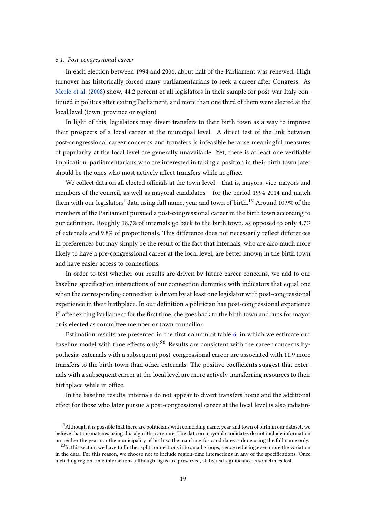#### 5.1. Post-congressional career

In each election between 1994 and 2006, about half of the Parliament was renewed. High turnover has historically forced many parliamentarians to seek a career after Congress. As [Merlo et al.](#page-27-12) [\(2008\)](#page-27-12) show, 44.2 percent of all legislators in their sample for post-war Italy continued in politics after exiting Parliament, and more than one third of them were elected at the local level (town, province or region).

In light of this, legislators may divert transfers to their birth town as a way to improve their prospects of a local career at the municipal level. A direct test of the link between post-congressional career concerns and transfers is infeasible because meaningful measures of popularity at the local level are generally unavailable. Yet, there is at least one veriable implication: parliamentarians who are interested in taking a position in their birth town later should be the ones who most actively affect transfers while in office.

We collect data on all elected officials at the town level – that is, mayors, vice-mayors and members of the council, as well as mayoral candidates – for the period 1994-2014 and match them with our legislators' data using full name, year and town of birth.<sup>19</sup> Around 10.9% of the members of the Parliament pursued a post-congressional career in the birth town according to our definition. Roughly 18.7% of internals go back to the birth town, as opposed to only  $4.7\%$ of externals and 9.8% of proportionals. This difference does not necessarily reflect differences in preferences but may simply be the result of the fact that internals, who are also much more likely to have a pre-congressional career at the local level, are better known in the birth town and have easier access to connections.

In order to test whether our results are driven by future career concerns, we add to our baseline specification interactions of our connection dummies with indicators that equal one when the corresponding connection is driven by at least one legislator with post-congressional experience in their birthplace. In our definition a politician has post-congressional experience if, after exiting Parliament for the first time, she goes back to the birth town and runs for mayor or is elected as committee member or town councillor.

Estimation results are presented in the first column of table  $6$ , in which we estimate our baseline model with time effects only.<sup>20</sup> Results are consistent with the career concerns hypothesis: externals with a subsequent post-congressional career are associated with 11.9 more transfers to the birth town than other externals. The positive coefficients suggest that externals with a subsequent career at the local level are more actively transferring resources to their birthplace while in office.

In the baseline results, internals do not appear to divert transfers home and the additional effect for those who later pursue a post-congressional career at the local level is also indistin-

 $19$ Although it is possible that there are politicians with coinciding name, year and town of birth in our dataset, we believe that mismatches using this algorithm are rare. The data on mayoral candidates do not include information on neither the year nor the municipality of birth so the matching for candidates is done using the full name only.

 $20$ In this section we have to further split connections into small groups, hence reducing even more the variation in the data. For this reason, we choose not to include region-time interactions in any of the specifications. Once including region-time interactions, although signs are preserved, statistical significance is sometimes lost.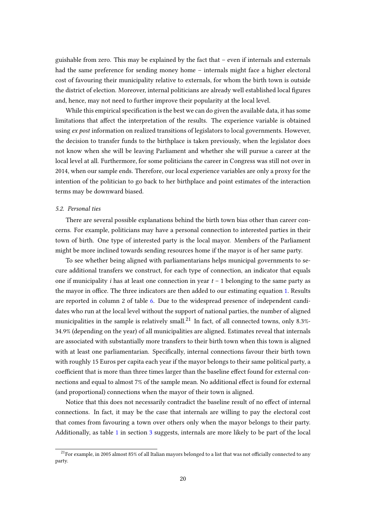guishable from zero. This may be explained by the fact that – even if internals and externals had the same preference for sending money home – internals might face a higher electoral cost of favouring their municipality relative to externals, for whom the birth town is outside the district of election. Moreover, internal politicians are already well established local figures and, hence, may not need to further improve their popularity at the local level.

While this empirical specification is the best we can do given the available data, it has some limitations that affect the interpretation of the results. The experience variable is obtained using ex post information on realized transitions of legislators to local governments. However, the decision to transfer funds to the birthplace is taken previously, when the legislator does not know when she will be leaving Parliament and whether she will pursue a career at the local level at all. Furthermore, for some politicians the career in Congress was still not over in 2014, when our sample ends. Therefore, our local experience variables are only a proxy for the intention of the politician to go back to her birthplace and point estimates of the interaction terms may be downward biased.

#### 5.2. Personal ties

There are several possible explanations behind the birth town bias other than career concerns. For example, politicians may have a personal connection to interested parties in their town of birth. One type of interested party is the local mayor. Members of the Parliament might be more inclined towards sending resources home if the mayor is of her same party.

To see whether being aligned with parliamentarians helps municipal governments to secure additional transfers we construct, for each type of connection, an indicator that equals one if municipality *i* has at least one connection in year  $t - 1$  belonging to the same party as the mayor in office. The three indicators are then added to our estimating equation [1.](#page-10-0) Results are reported in column 2 of table [6.](#page-21-0) Due to the widespread presence of independent candidates who run at the local level without the support of national parties, the number of aligned municipalities in the sample is relatively small.<sup>21</sup> In fact, of all connected towns, only 8.3%-34.9% (depending on the year) of all municipalities are aligned. Estimates reveal that internals are associated with substantially more transfers to their birth town when this town is aligned with at least one parliamentarian. Specifically, internal connections favour their birth town with roughly 15 Euros per capita each year if the mayor belongs to their same political party, a coefficient that is more than three times larger than the baseline effect found for external connections and equal to almost 7% of the sample mean. No additional effect is found for external (and proportional) connections when the mayor of their town is aligned.

Notice that this does not necessarily contradict the baseline result of no effect of internal connections. In fact, it may be the case that internals are willing to pay the electoral cost that comes from favouring a town over others only when the mayor belongs to their party. Additionally, as table [1](#page-9-0) in section [3](#page-6-0) suggests, internals are more likely to be part of the local

 $^{21}$ For example, in 2005 almost 85% of all Italian mayors belonged to a list that was not officially connected to any party.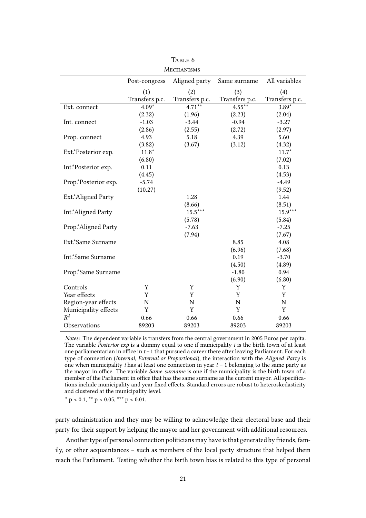<span id="page-21-0"></span>

| <b>MECHANISMS</b>    |                         |                         |                |                         |
|----------------------|-------------------------|-------------------------|----------------|-------------------------|
|                      | Post-congress           | Aligned party           | Same surname   | All variables           |
|                      | (1)                     | (2)                     | (3)            | (4)                     |
|                      | Transfers p.c.          | Transfers p.c.          | Transfers p.c. | Transfers p.c.          |
| Ext. connect         | $4.09*$                 | $4.71***$               | $4.55***$      | $3.89*$                 |
|                      | (2.32)                  | (1.96)                  | (2.23)         | (2.04)                  |
| Int. connect         | $-1.03$                 | $-3.44$                 | $-0.94$        | $-3.27$                 |
|                      | (2.86)                  | (2.55)                  | (2.72)         | (2.97)                  |
| Prop. connect        | 4.93                    | 5.18                    | 4.39           | 5.60                    |
|                      | (3.82)                  | (3.67)                  | (3.12)         | (4.32)                  |
| Ext.*Posterior exp.  | $11.8*$                 |                         |                | $11.7*$                 |
|                      | (6.80)                  |                         |                | (7.02)                  |
| Int.*Posterior exp.  | 0.11                    |                         |                | 0.13                    |
|                      | (4.45)                  |                         |                | (4.53)                  |
| Prop.*Posterior exp. | $-5.74$                 |                         |                | $-4.49$                 |
|                      | (10.27)                 |                         |                | (9.52)                  |
| Ext.*Aligned Party   |                         | 1.28                    |                | 1.44                    |
|                      |                         | (8.66)                  |                | (8.51)                  |
| Int.*Aligned Party   |                         | $15.5***$               |                | $15.9***$               |
|                      |                         | (5.78)                  |                | (5.84)                  |
| Prop.*Aligned Party  |                         | $-7.63$                 |                | $-7.25$                 |
|                      |                         | (7.94)                  |                | (7.67)                  |
| Ext.*Same Surname    |                         |                         | 8.85           | 4.08                    |
|                      |                         |                         | (6.96)         | (7.68)                  |
| Int.*Same Surname    |                         |                         | 0.19           | $-3.70$                 |
|                      |                         |                         | (4.50)         | (4.89)                  |
| Prop.*Same Surname   |                         |                         | $-1.80$        | 0.94                    |
|                      |                         |                         | (6.90)         | (6.80)                  |
| Controls             | $\overline{\mathrm{Y}}$ | $\overline{\mathrm{Y}}$ | Y              | $\overline{\mathrm{Y}}$ |
| Year effects         | Y                       | Y                       | Y              | Y                       |
| Region-year effects  | N                       | N                       | N              | $\mathbf N$             |
| Municipality effects | Y                       | Y                       | Y              | Y                       |
| $R^2$                | 0.66                    | 0.66                    | 0.66           | 0.66                    |
| Observations         | 89203                   | 89203                   | 89203          | 89203                   |

TABLE 6

Notes: The dependent variable is transfers from the central government in 2005 Euros per capita. The variable *Posterior exp* is a dummy equal to one if municipality  $i$  is the birth town of at least one parliamentarian in office in  $t-1$  that pursued a career there after leaving Parliament. For each type of connection (Internal, External or Proportional), the interaction with the Aligned Party is one when municipality  $i$  has at least one connection in year  $t - 1$  belonging to the same party as the mayor in office. The variable Same surname is one if the municipality is the birth town of a member of the Parliament in office that has the same surname as the current mayor. All specifications include municipality and year fixed effects. Standard errors are robust to heteroskedasticity and clustered at the municipality level.

\* p < 0.1, \*\* p < 0.05, \*\*\* p < 0.01.

party administration and they may be willing to acknowledge their electoral base and their party for their support by helping the mayor and her government with additional resources.

Another type of personal connection politicians may have is that generated by friends, family, or other acquaintances – such as members of the local party structure that helped them reach the Parliament. Testing whether the birth town bias is related to this type of personal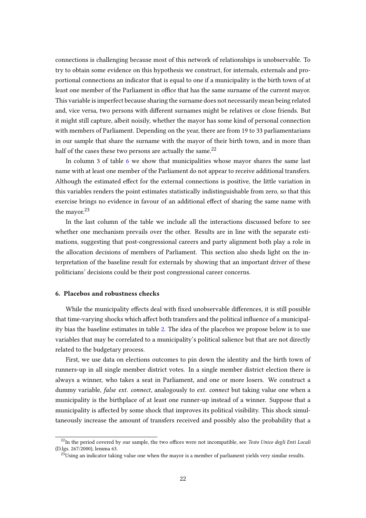connections is challenging because most of this network of relationships is unobservable. To try to obtain some evidence on this hypothesis we construct, for internals, externals and proportional connections an indicator that is equal to one if a municipality is the birth town of at least one member of the Parliament in office that has the same surname of the current mayor. This variable is imperfect because sharing the surname does not necessarily mean being related and, vice versa, two persons with different surnames might be relatives or close friends. But it might still capture, albeit noisily, whether the mayor has some kind of personal connection with members of Parliament. Depending on the year, there are from 19 to 33 parliamentarians in our sample that share the surname with the mayor of their birth town, and in more than half of the cases these two persons are actually the same. $22$ 

In column 3 of table [6](#page-21-0) we show that municipalities whose mayor shares the same last name with at least one member of the Parliament do not appear to receive additional transfers. Although the estimated effect for the external connections is positive, the little variation in this variables renders the point estimates statistically indistinguishable from zero, so that this exercise brings no evidence in favour of an additional effect of sharing the same name with the mayor. $23$ 

In the last column of the table we include all the interactions discussed before to see whether one mechanism prevails over the other. Results are in line with the separate estimations, suggesting that post-congressional careers and party alignment both play a role in the allocation decisions of members of Parliament. This section also sheds light on the interpretation of the baseline result for externals by showing that an important driver of these politicians' decisions could be their post congressional career concerns.

#### <span id="page-22-0"></span>6. Placebos and robustness checks

While the municipality effects deal with fixed unobservable differences, it is still possible that time-varying shocks which affect both transfers and the political influence of a municipality bias the baseline estimates in table [2.](#page-13-0) The idea of the placebos we propose below is to use variables that may be correlated to a municipality's political salience but that are not directly related to the budgetary process.

First, we use data on elections outcomes to pin down the identity and the birth town of runners-up in all single member district votes. In a single member district election there is always a winner, who takes a seat in Parliament, and one or more losers. We construct a dummy variable, *false ext. connect*, analogously to *ext. connect* but taking value one when a municipality is the birthplace of at least one runner-up instead of a winner. Suppose that a municipality is affected by some shock that improves its political visibility. This shock simultaneously increase the amount of transfers received and possibly also the probability that a

 $^{22}$ In the period covered by our sample, the two offices were not incompatible, see Testo Unico degli Enti Locali (D.lgs. 267/2000), lemma 63.

 $^{23}$ Using an indicator taking value one when the mayor is a member of parliament yields very similar results.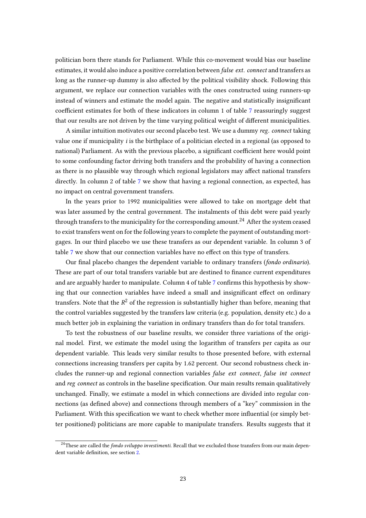politician born there stands for Parliament. While this co-movement would bias our baseline estimates, it would also induce a positive correlation between false ext. connect and transfers as long as the runner-up dummy is also affected by the political visibility shock. Following this argument, we replace our connection variables with the ones constructed using runners-up instead of winners and estimate the model again. The negative and statistically insignicant coefficient estimates for both of these indicators in column 1 of table [7](#page-24-0) reassuringly suggest that our results are not driven by the time varying political weight of different municipalities.

A similar intuition motivates our second placebo test. We use a dummy reg. connect taking value one if municipality i is the birthplace of a politician elected in a regional (as opposed to national) Parliament. As with the previous placebo, a significant coefficient here would point to some confounding factor driving both transfers and the probability of having a connection as there is no plausible way through which regional legislators may affect national transfers directly. In column 2 of table [7](#page-24-0) we show that having a regional connection, as expected, has no impact on central government transfers.

In the years prior to 1992 municipalities were allowed to take on mortgage debt that was later assumed by the central government. The instalments of this debt were paid yearly through transfers to the municipality for the corresponding amount.<sup>24</sup> After the system ceased to exist transfers went on for the following years to complete the payment of outstanding mortgages. In our third placebo we use these transfers as our dependent variable. In column 3 of table [7](#page-24-0) we show that our connection variables have no effect on this type of transfers.

Our final placebo changes the dependent variable to ordinary transfers (fondo ordinario). These are part of our total transfers variable but are destined to finance current expenditures and are arguably harder to manipulate. Column 4 of table [7](#page-24-0) confirms this hypothesis by showing that our connection variables have indeed a small and insignificant effect on ordinary transfers. Note that the  $R^2$  of the regression is substantially higher than before, meaning that the control variables suggested by the transfers law criteria (e.g. population, density etc.) do a much better job in explaining the variation in ordinary transfers than do for total transfers.

To test the robustness of our baseline results, we consider three variations of the original model. First, we estimate the model using the logarithm of transfers per capita as our dependent variable. This leads very similar results to those presented before, with external connections increasing transfers per capita by 1.62 percent. Our second robustness check includes the runner-up and regional connection variables false ext connect, false int connect and reg connect as controls in the baseline specification. Our main results remain qualitatively unchanged. Finally, we estimate a model in which connections are divided into regular connections (as defined above) and connections through members of a "key" commission in the Parliament. With this specification we want to check whether more influential (or simply better positioned) politicians are more capable to manipulate transfers. Results suggests that it

<sup>&</sup>lt;sup>24</sup>These are called the fondo sviluppo investimenti. Recall that we excluded those transfers from our main depen-dent variable definition, see section [2.](#page-5-0)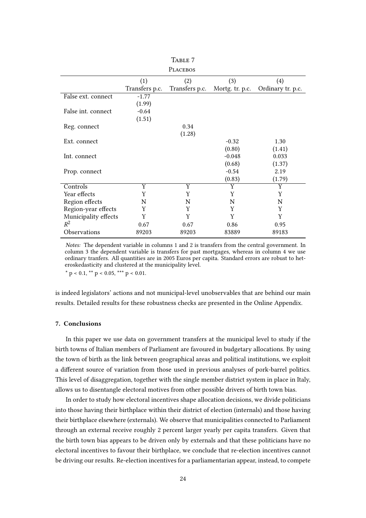<span id="page-24-0"></span>

| PLACEBOS             |                |                |                 |                   |
|----------------------|----------------|----------------|-----------------|-------------------|
|                      | (1)            | (2)            | (3)             | $\left( 4\right)$ |
|                      | Transfers p.c. | Transfers p.c. | Mortg. tr. p.c. | Ordinary tr. p.c. |
| False ext. connect   | $-1.77$        |                |                 |                   |
|                      | (1.99)         |                |                 |                   |
| False int. connect   | $-0.64$        |                |                 |                   |
|                      | (1.51)         |                |                 |                   |
| Reg. connect         |                | 0.34           |                 |                   |
|                      |                | (1.28)         |                 |                   |
| Ext. connect         |                |                | $-0.32$         | 1.30              |
|                      |                |                | (0.80)          | (1.41)            |
| Int. connect         |                |                | $-0.048$        | 0.033             |
|                      |                |                | (0.68)          | (1.37)            |
| Prop. connect        |                |                | $-0.54$         | 2.19              |
|                      |                |                | (0.83)          | (1.79)            |
| Controls             | Y              | Y              | Y               | Y                 |
| Year effects         | Y              | Y              | Y               | Y                 |
| Region effects       | N              | N              | N               | N                 |
| Region-year effects  | Y              | Y              | Y               | Y                 |
| Municipality effects | Y              | Y              | Y               | Y                 |
| $R^2$                | 0.67           | 0.67           | 0.86            | 0.95              |
| <b>Observations</b>  | 89203          | 89203          | 83889           | 89183             |

TABLE 7

Notes: The dependent variable in columns 1 and 2 is transfers from the central government. In column 3 the dependent variable is transfers for past mortgages, whereas in column 4 we use ordinary tranfers. All quantities are in 2005 Euros per capita. Standard errors are robust to heteroskedasticity and clustered at the municipality level.

 $*$  p < 0.1,  $**$  p < 0.05,  $***$  p < 0.01.

is indeed legislators' actions and not municipal-level unobservables that are behind our main results. Detailed results for these robustness checks are presented in the Online Appendix.

#### 7. Conclusions

In this paper we use data on government transfers at the municipal level to study if the birth towns of Italian members of Parliament are favoured in budgetary allocations. By using the town of birth as the link between geographical areas and political institutions, we exploit a different source of variation from those used in previous analyses of pork-barrel politics. This level of disaggregation, together with the single member district system in place in Italy, allows us to disentangle electoral motives from other possible drivers of birth town bias.

In order to study how electoral incentives shape allocation decisions, we divide politicians into those having their birthplace within their district of election (internals) and those having their birthplace elsewhere (externals). We observe that municipalities connected to Parliament through an external receive roughly 2 percent larger yearly per capita transfers. Given that the birth town bias appears to be driven only by externals and that these politicians have no electoral incentives to favour their birthplace, we conclude that re-election incentives cannot be driving our results. Re-election incentives for a parliamentarian appear, instead, to compete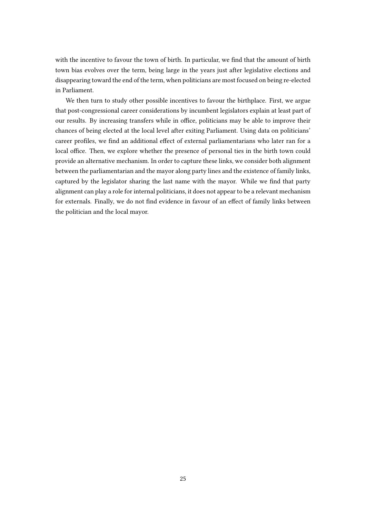with the incentive to favour the town of birth. In particular, we find that the amount of birth town bias evolves over the term, being large in the years just after legislative elections and disappearing toward the end of the term, when politicians are most focused on being re-elected in Parliament.

We then turn to study other possible incentives to favour the birthplace. First, we argue that post-congressional career considerations by incumbent legislators explain at least part of our results. By increasing transfers while in office, politicians may be able to improve their chances of being elected at the local level after exiting Parliament. Using data on politicians' career profiles, we find an additional effect of external parliamentarians who later ran for a local office. Then, we explore whether the presence of personal ties in the birth town could provide an alternative mechanism. In order to capture these links, we consider both alignment between the parliamentarian and the mayor along party lines and the existence of family links, captured by the legislator sharing the last name with the mayor. While we find that party alignment can play a role for internal politicians, it does not appear to be a relevant mechanism for externals. Finally, we do not find evidence in favour of an effect of family links between the politician and the local mayor.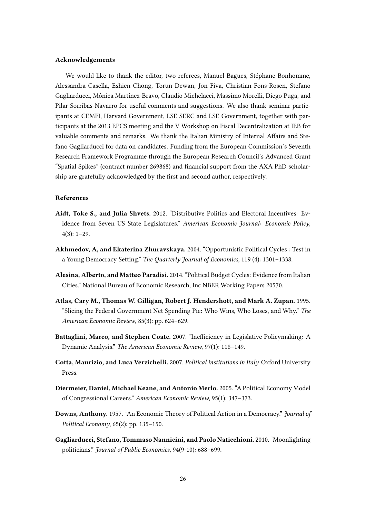#### Acknowledgements

We would like to thank the editor, two referees, Manuel Bagues, Stéphane Bonhomme, Alessandra Casella, Eshien Chong, Torun Dewan, Jon Fiva, Christian Fons-Rosen, Stefano Gagliarducci, Mónica Martínez-Bravo, Claudio Michelacci, Massimo Morelli, Diego Puga, and Pilar Sorribas-Navarro for useful comments and suggestions. We also thank seminar participants at CEMFI, Harvard Government, LSE SERC and LSE Government, together with participants at the 2013 EPCS meeting and the V Workshop on Fiscal Decentralization at IEB for valuable comments and remarks. We thank the Italian Ministry of Internal Affairs and Stefano Gagliarducci for data on candidates. Funding from the European Commission's Seventh Research Framework Programme through the European Research Council's Advanced Grant "Spatial Spikes" (contract number 269868) and nancial support from the AXA PhD scholarship are gratefully acknowledged by the first and second author, respectively.

#### References

- <span id="page-26-1"></span>Aidt, Toke S., and Julia Shvets. 2012. "Distributive Politics and Electoral Incentives: Evidence from Seven US State Legislatures." American Economic Journal: Economic Policy,  $4(3): 1-29.$
- <span id="page-26-7"></span>Akhmedov, A, and Ekaterina Zhuravskaya. 2004. "Opportunistic Political Cycles : Test in a Young Democracy Setting." The Quarterly Journal of Economics, 119 (4): 1301–1338.
- <span id="page-26-8"></span>Alesina, Alberto, and Matteo Paradisi. 2014. "Political Budget Cycles: Evidence from Italian Cities." National Bureau of Economic Research, Inc NBER Working Papers 20570.
- <span id="page-26-0"></span>Atlas, Cary M., Thomas W. Gilligan, Robert J. Hendershott, and Mark A. Zupan. 1995. "Slicing the Federal Government Net Spending Pie: Who Wins, Who Loses, and Why." The American Economic Review, 85(3): pp. 624–629.
- <span id="page-26-2"></span>Battaglini, Marco, and Stephen Coate. 2007. "Inefficiency in Legislative Policymaking: A Dynamic Analysis." The American Economic Review, 97(1): 118–149.
- <span id="page-26-5"></span>Cotta, Maurizio, and Luca Verzichelli. 2007. Political institutions in Italy. Oxford University Press.
- <span id="page-26-4"></span>Diermeier, Daniel, Michael Keane, and Antonio Merlo. 2005. "A Political Economy Model of Congressional Careers." American Economic Review, 95(1): 347–373.
- <span id="page-26-3"></span>Downs, Anthony. 1957. "An Economic Theory of Political Action in a Democracy." Journal of Political Economy,  $65(2)$ : pp. 135-150.
- <span id="page-26-6"></span>Gagliarducci, Stefano, Tommaso Nannicini, and Paolo Naticchioni. 2010. "Moonlighting politicians." Journal of Public Economics, 94(9-10): 688–699.